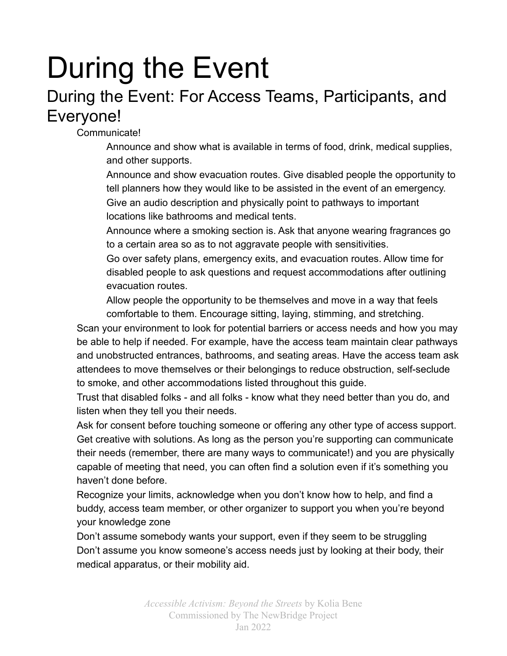# During the Event

# During the Event: For Access Teams, Participants, and Everyone!

Communicate!

Announce and show what is available in terms of food, drink, medical supplies, and other supports.

Announce and show evacuation routes. Give disabled people the opportunity to tell planners how they would like to be assisted in the event of an emergency. Give an audio description and physically point to pathways to important locations like bathrooms and medical tents.

Announce where a smoking section is. Ask that anyone wearing fragrances go to a certain area so as to not aggravate people with sensitivities.

Go over safety plans, emergency exits, and evacuation routes. Allow time for disabled people to ask questions and request accommodations after outlining evacuation routes.

Allow people the opportunity to be themselves and move in a way that feels comfortable to them. Encourage sitting, laying, stimming, and stretching.

Scan your environment to look for potential barriers or access needs and how you may be able to help if needed. For example, have the access team maintain clear pathways and unobstructed entrances, bathrooms, and seating areas. Have the access team ask attendees to move themselves or their belongings to reduce obstruction, self-seclude to smoke, and other accommodations listed throughout this guide.

Trust that disabled folks - and all folks - know what they need better than you do, and listen when they tell you their needs.

Ask for consent before touching someone or offering any other type of access support. Get creative with solutions. As long as the person you're supporting can communicate their needs (remember, there are many ways to communicate!) and you are physically capable of meeting that need, you can often find a solution even if it's something you haven't done before.

Recognize your limits, acknowledge when you don't know how to help, and find a buddy, access team member, or other organizer to support you when you're beyond your knowledge zone

Don't assume somebody wants your support, even if they seem to be struggling Don't assume you know someone's access needs just by looking at their body, their medical apparatus, or their mobility aid.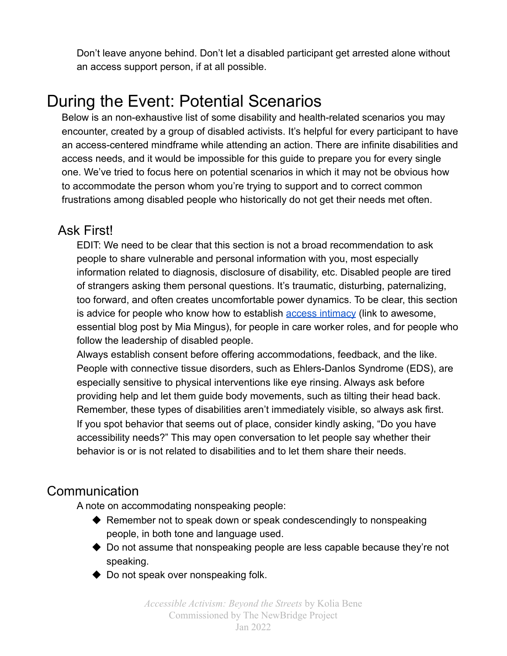Don't leave anyone behind. Don't let a disabled participant get arrested alone without an access support person, if at all possible.

## During the Event: Potential Scenarios

Below is an non-exhaustive list of some disability and health-related scenarios you may encounter, created by a group of disabled activists. It's helpful for every participant to have an access-centered mindframe while attending an action. There are infinite disabilities and access needs, and it would be impossible for this guide to prepare you for every single one. We've tried to focus here on potential scenarios in which it may not be obvious how to accommodate the person whom you're trying to support and to correct common frustrations among disabled people who historically do not get their needs met often.

#### Ask First!

EDIT: We need to be clear that this section is not a broad recommendation to ask people to share vulnerable and personal information with you, most especially information related to diagnosis, disclosure of disability, etc. Disabled people are tired of strangers asking them personal questions. It's traumatic, disturbing, paternalizing, too forward, and often creates uncomfortable power dynamics. To be clear, this section is advice for people who know how to establish access [intimacy](https://leavingevidence.wordpress.com/2011/05/05/access-intimacy-the-missing-link/) (link to awesome, essential blog post by Mia Mingus), for people in care worker roles, and for people who follow the leadership of disabled people.

Always establish consent before offering accommodations, feedback, and the like. People with connective tissue disorders, such as Ehlers-Danlos Syndrome (EDS), are especially sensitive to physical interventions like eye rinsing. Always ask before providing help and let them guide body movements, such as tilting their head back. Remember, these types of disabilities aren't immediately visible, so always ask first. If you spot behavior that seems out of place, consider kindly asking, "Do you have accessibility needs?" This may open conversation to let people say whether their behavior is or is not related to disabilities and to let them share their needs.

#### Communication

A note on accommodating nonspeaking people:

- $\blacklozenge$  Remember not to speak down or speak condescendingly to nonspeaking people, in both tone and language used.
- ◆ Do not assume that nonspeaking people are less capable because they're not speaking.
- ◆ Do not speak over nonspeaking folk.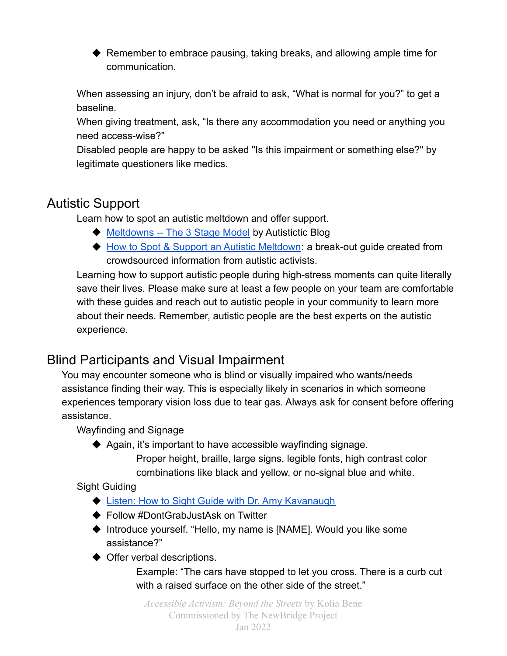◆ Remember to embrace pausing, taking breaks, and allowing ample time for communication.

When assessing an injury, don't be afraid to ask, "What is normal for you?" to get a baseline.

When giving treatment, ask, "Is there any accommodation you need or anything you need access-wise?"

Disabled people are happy to be asked "Is this impairment or something else?" by legitimate questioners like medics.

## Autistic Support

Learn how to spot an autistic meltdown and offer support.

- ◆ [Meltdowns -- The 3 Stage Model](https://autistictic.com/2019/03/23/meltdowns-the-three-stage-model/) by Autistictic Blog
- ◆ [How to Spot & Support an Autistic Meltdown](https://docs.google.com/document/d/1sGRvBNna3psktS7CkFpvzC-deMJWYUunO4e2MRM6uAU/edit?usp=sharing): a break-out guide created from crowdsourced information from autistic activists.

Learning how to support autistic people during high-stress moments can quite literally save their lives. Please make sure at least a few people on your team are comfortable with these guides and reach out to autistic people in your community to learn more about their needs. Remember, autistic people are the best experts on the autistic experience.

## Blind Participants and Visual Impairment

You may encounter someone who is blind or visually impaired who wants/needs assistance finding their way. This is especially likely in scenarios in which someone experiences temporary vision loss due to tear gas. Always ask for consent before offering assistance.

Wayfinding and Signage

◆ Again, it's important to have accessible wayfinding signage.

Proper height, braille, large signs, legible fonts, high contrast color combinations like black and yellow, or no-signal blue and white.

#### Sight Guiding

- ◆ [Listen: How to Sight Guide with Dr. Amy Kavanaugh](https://open.spotify.com/episode/7sXUvln8I3EP2f9iOaiVGb?si=nV3xT2NSSV2MfrL1EoOagw)
- ◆ Follow #DontGrabJustAsk on Twitter
- ◆ Introduce yourself. "Hello, my name is [NAME]. Would you like some assistance?"
- ◆ Offer verbal descriptions.

Example: "The cars have stopped to let you cross. There is a curb cut with a raised surface on the other side of the street."

*Accessible Activism: Beyond the Streets* by Kolia Bene Commissioned by The NewBridge Project Jan 2022